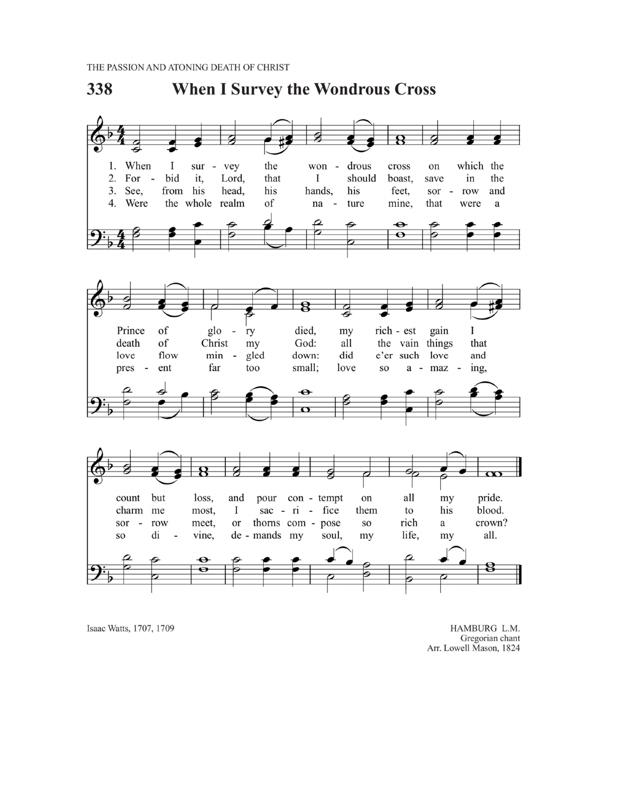

Isaac Watts, 1707, 1709

HAMBURG L.M. Gregorian chant Arr. Lowell Mason, 1824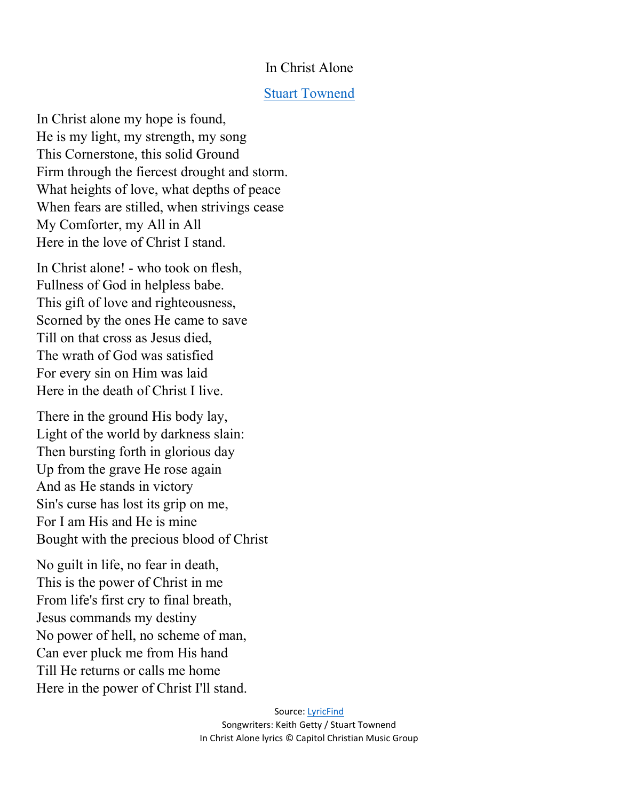## In Christ Alone

## Stuart Townend

In Christ alone my hope is found, He is my light, my strength, my song This Cornerstone, this solid Ground Firm through the fiercest drought and storm. What heights of love, what depths of peace When fears are stilled, when strivings cease My Comforter, my All in All Here in the love of Christ I stand.

In Christ alone! - who took on flesh, Fullness of God in helpless babe. This gift of love and righteousness, Scorned by the ones He came to save Till on that cross as Jesus died, The wrath of God was satisfied For every sin on Him was laid Here in the death of Christ I live.

There in the ground His body lay, Light of the world by darkness slain: Then bursting forth in glorious day Up from the grave He rose again And as He stands in victory Sin's curse has lost its grip on me, For I am His and He is mine Bought with the precious blood of Christ

No guilt in life, no fear in death, This is the power of Christ in me From life's first cry to final breath, Jesus commands my destiny No power of hell, no scheme of man, Can ever pluck me from His hand Till He returns or calls me home Here in the power of Christ I'll stand.

> Source: LyricFind Songwriters: Keith Getty / Stuart Townend In Christ Alone lyrics © Capitol Christian Music Group